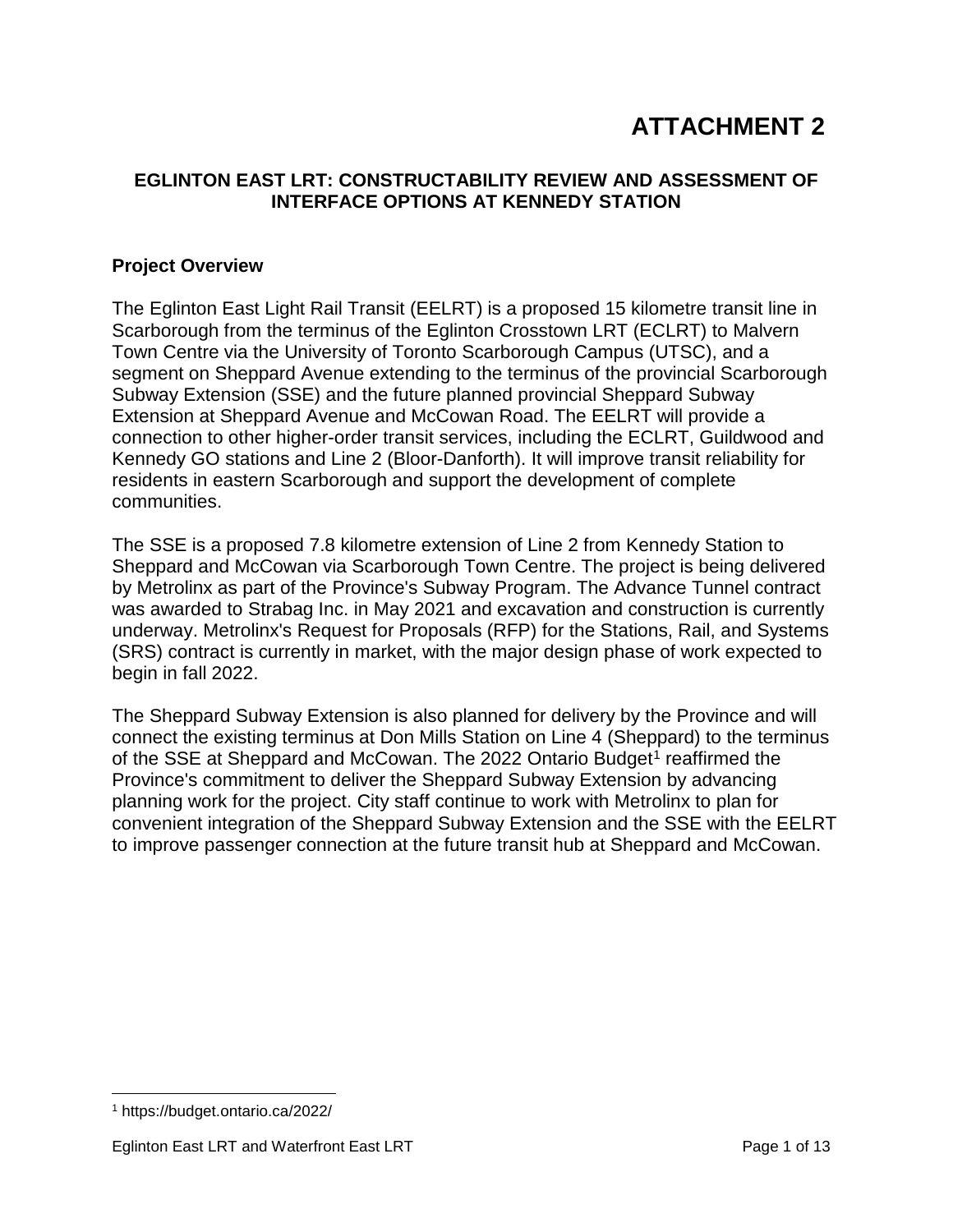# **ATTACHMENT 2**

### **EGLINTON EAST LRT: CONSTRUCTABILITY REVIEW AND ASSESSMENT OF INTERFACE OPTIONS AT KENNEDY STATION**

#### **Project Overview**

The Eglinton East Light Rail Transit (EELRT) is a proposed 15 kilometre transit line in Scarborough from the terminus of the Eglinton Crosstown LRT (ECLRT) to Malvern Town Centre via the University of Toronto Scarborough Campus (UTSC), and a segment on Sheppard Avenue extending to the terminus of the provincial Scarborough Subway Extension (SSE) and the future planned provincial Sheppard Subway Extension at Sheppard Avenue and McCowan Road. The EELRT will provide a connection to other higher-order transit services, including the ECLRT, Guildwood and Kennedy GO stations and Line 2 (Bloor-Danforth). It will improve transit reliability for residents in eastern Scarborough and support the development of complete communities.

The SSE is a proposed 7.8 kilometre extension of Line 2 from Kennedy Station to Sheppard and McCowan via Scarborough Town Centre. The project is being delivered by Metrolinx as part of the Province's Subway Program. The Advance Tunnel contract was awarded to Strabag Inc. in May 2021 and excavation and construction is currently underway. Metrolinx's Request for Proposals (RFP) for the Stations, Rail, and Systems (SRS) contract is currently in market, with the major design phase of work expected to begin in fall 2022.

The Sheppard Subway Extension is also planned for delivery by the Province and will connect the existing terminus at Don Mills Station on Line 4 (Sheppard) to the terminus of the SSE at Sheppard and McCowan. The 2022 Ontario Budget<sup>[1](#page-0-0)</sup> reaffirmed the Province's commitment to deliver the Sheppard Subway Extension by advancing planning work for the project. City staff continue to work with Metrolinx to plan for convenient integration of the Sheppard Subway Extension and the SSE with the EELRT to improve passenger connection at the future transit hub at Sheppard and McCowan.

<span id="page-0-0"></span> <sup>1</sup> https://budget.ontario.ca/2022/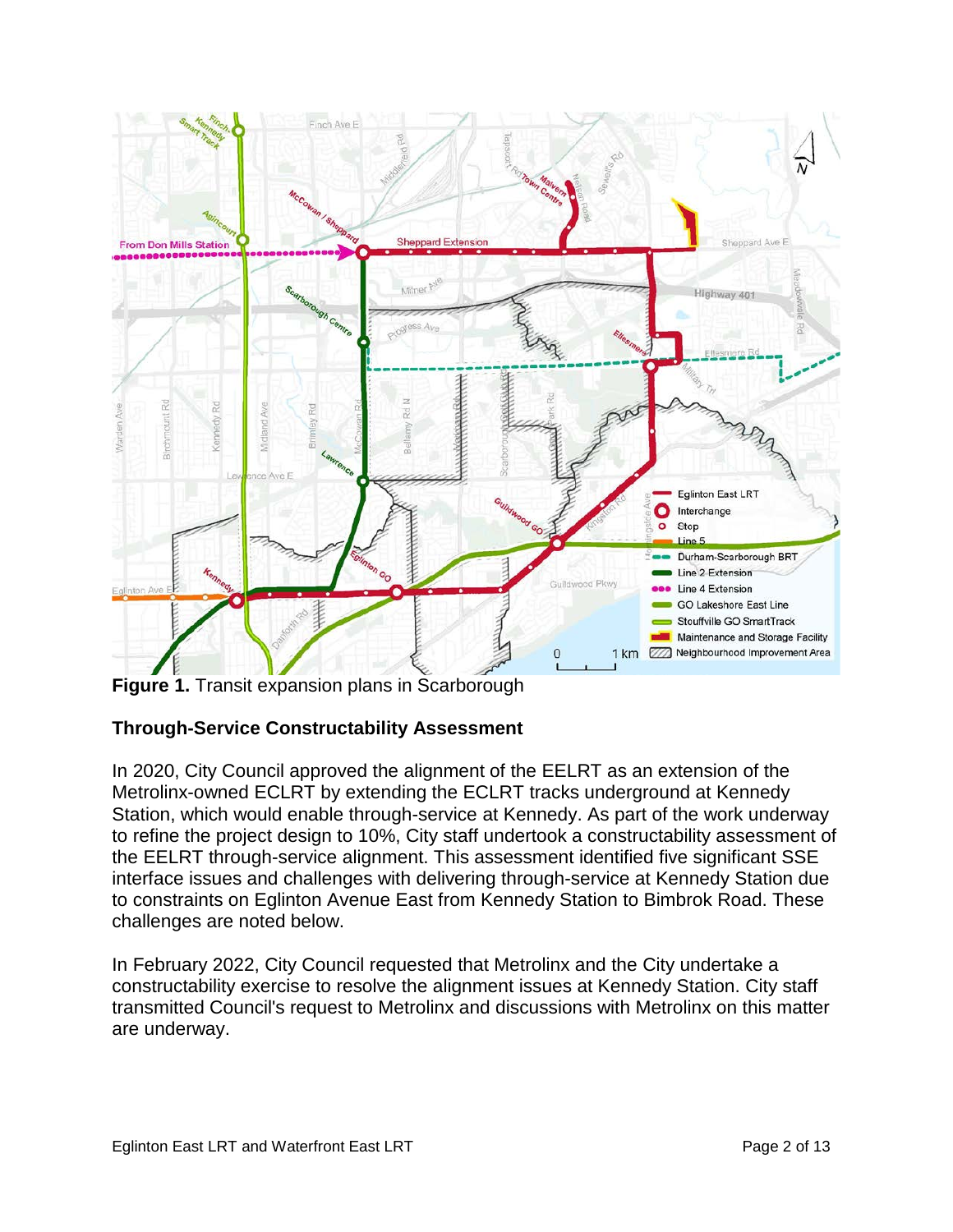

**Figure 1.** Transit expansion plans in Scarborough

## **Through-Service Constructability Assessment**

In 2020, City Council approved the alignment of the EELRT as an extension of the Metrolinx-owned ECLRT by extending the ECLRT tracks underground at Kennedy Station, which would enable through-service at Kennedy. As part of the work underway to refine the project design to 10%, City staff undertook a constructability assessment of the EELRT through-service alignment. This assessment identified five significant SSE interface issues and challenges with delivering through-service at Kennedy Station due to constraints on Eglinton Avenue East from Kennedy Station to Bimbrok Road. These challenges are noted below.

In February 2022, City Council requested that Metrolinx and the City undertake a constructability exercise to resolve the alignment issues at Kennedy Station. City staff transmitted Council's request to Metrolinx and discussions with Metrolinx on this matter are underway.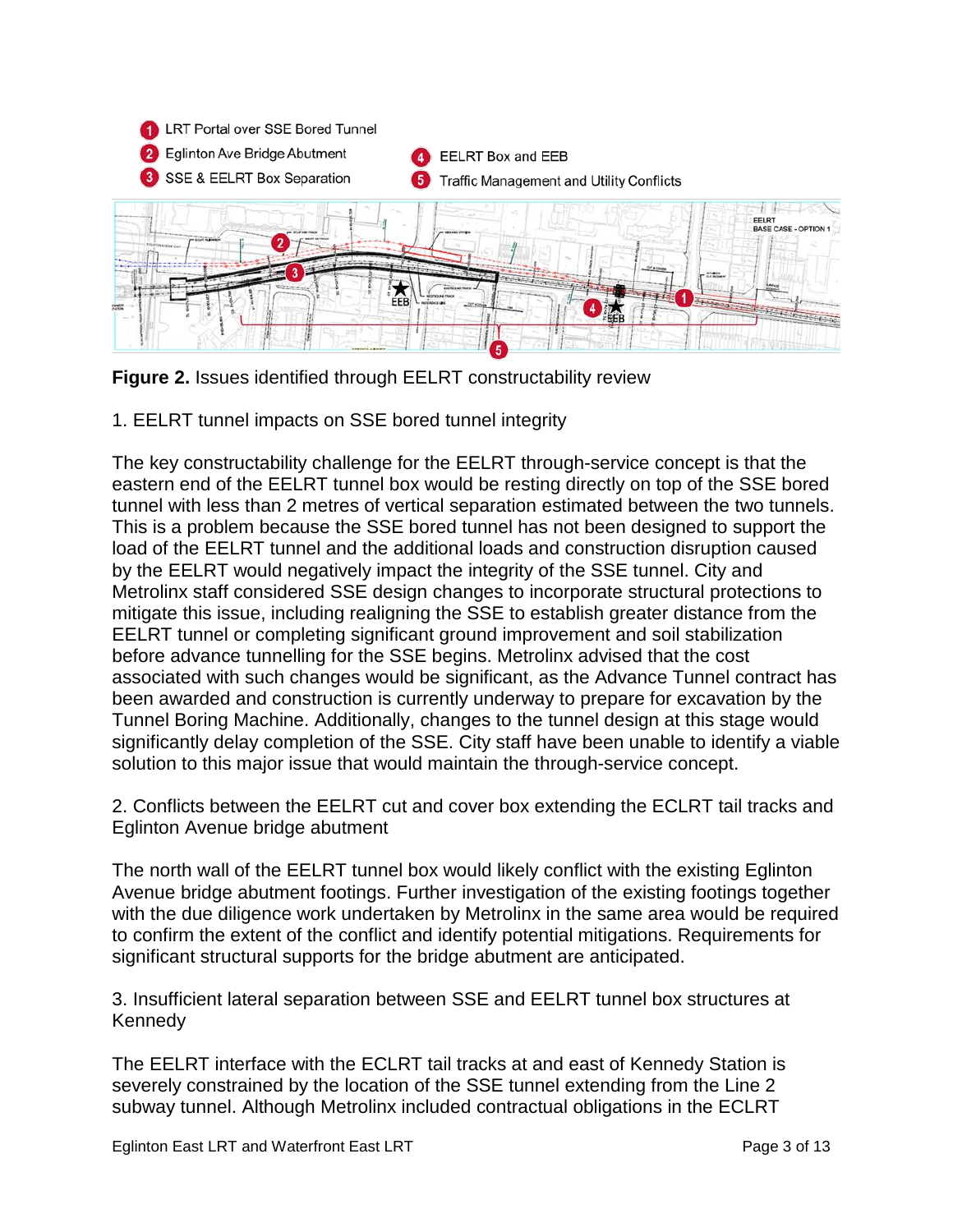

**Figure 2.** Issues identified through EELRT constructability review

1. EELRT tunnel impacts on SSE bored tunnel integrity

The key constructability challenge for the EELRT through-service concept is that the eastern end of the EELRT tunnel box would be resting directly on top of the SSE bored tunnel with less than 2 metres of vertical separation estimated between the two tunnels. This is a problem because the SSE bored tunnel has not been designed to support the load of the EELRT tunnel and the additional loads and construction disruption caused by the EELRT would negatively impact the integrity of the SSE tunnel. City and Metrolinx staff considered SSE design changes to incorporate structural protections to mitigate this issue, including realigning the SSE to establish greater distance from the EELRT tunnel or completing significant ground improvement and soil stabilization before advance tunnelling for the SSE begins. Metrolinx advised that the cost associated with such changes would be significant, as the Advance Tunnel contract has been awarded and construction is currently underway to prepare for excavation by the Tunnel Boring Machine. Additionally, changes to the tunnel design at this stage would significantly delay completion of the SSE. City staff have been unable to identify a viable solution to this major issue that would maintain the through-service concept.

2. Conflicts between the EELRT cut and cover box extending the ECLRT tail tracks and Eglinton Avenue bridge abutment

The north wall of the EELRT tunnel box would likely conflict with the existing Eglinton Avenue bridge abutment footings. Further investigation of the existing footings together with the due diligence work undertaken by Metrolinx in the same area would be required to confirm the extent of the conflict and identify potential mitigations. Requirements for significant structural supports for the bridge abutment are anticipated.

3. Insufficient lateral separation between SSE and EELRT tunnel box structures at Kennedy

The EELRT interface with the ECLRT tail tracks at and east of Kennedy Station is severely constrained by the location of the SSE tunnel extending from the Line 2 subway tunnel. Although Metrolinx included contractual obligations in the ECLRT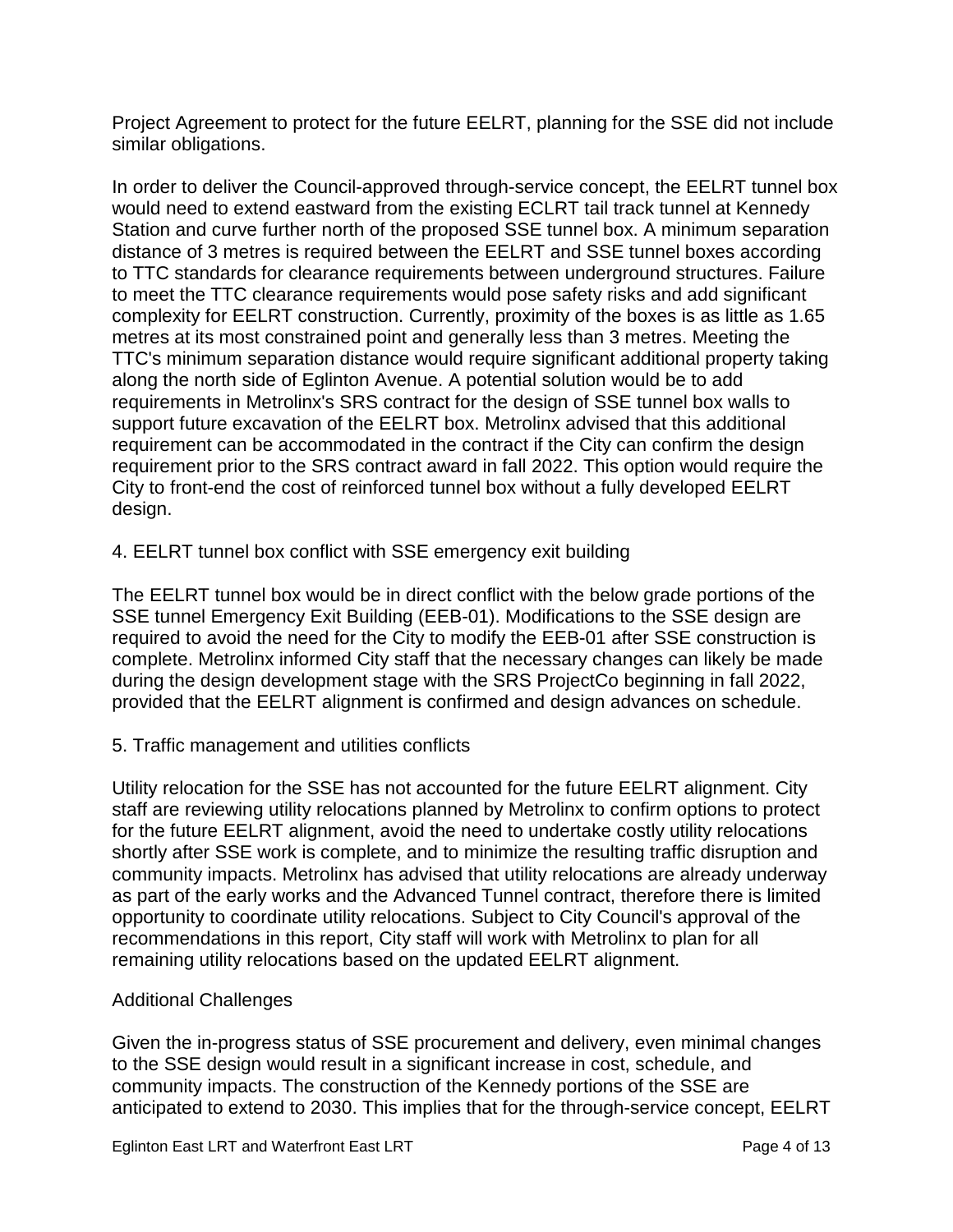Project Agreement to protect for the future EELRT, planning for the SSE did not include similar obligations.

In order to deliver the Council-approved through-service concept, the EELRT tunnel box would need to extend eastward from the existing ECLRT tail track tunnel at Kennedy Station and curve further north of the proposed SSE tunnel box. A minimum separation distance of 3 metres is required between the EELRT and SSE tunnel boxes according to TTC standards for clearance requirements between underground structures. Failure to meet the TTC clearance requirements would pose safety risks and add significant complexity for EELRT construction. Currently, proximity of the boxes is as little as 1.65 metres at its most constrained point and generally less than 3 metres. Meeting the TTC's minimum separation distance would require significant additional property taking along the north side of Eglinton Avenue. A potential solution would be to add requirements in Metrolinx's SRS contract for the design of SSE tunnel box walls to support future excavation of the EELRT box. Metrolinx advised that this additional requirement can be accommodated in the contract if the City can confirm the design requirement prior to the SRS contract award in fall 2022. This option would require the City to front-end the cost of reinforced tunnel box without a fully developed EELRT design.

4. EELRT tunnel box conflict with SSE emergency exit building

The EELRT tunnel box would be in direct conflict with the below grade portions of the SSE tunnel Emergency Exit Building (EEB-01). Modifications to the SSE design are required to avoid the need for the City to modify the EEB-01 after SSE construction is complete. Metrolinx informed City staff that the necessary changes can likely be made during the design development stage with the SRS ProjectCo beginning in fall 2022, provided that the EELRT alignment is confirmed and design advances on schedule.

5. Traffic management and utilities conflicts

Utility relocation for the SSE has not accounted for the future EELRT alignment. City staff are reviewing utility relocations planned by Metrolinx to confirm options to protect for the future EELRT alignment, avoid the need to undertake costly utility relocations shortly after SSE work is complete, and to minimize the resulting traffic disruption and community impacts. Metrolinx has advised that utility relocations are already underway as part of the early works and the Advanced Tunnel contract, therefore there is limited opportunity to coordinate utility relocations. Subject to City Council's approval of the recommendations in this report, City staff will work with Metrolinx to plan for all remaining utility relocations based on the updated EELRT alignment.

#### Additional Challenges

Given the in-progress status of SSE procurement and delivery, even minimal changes to the SSE design would result in a significant increase in cost, schedule, and community impacts. The construction of the Kennedy portions of the SSE are anticipated to extend to 2030. This implies that for the through-service concept, EELRT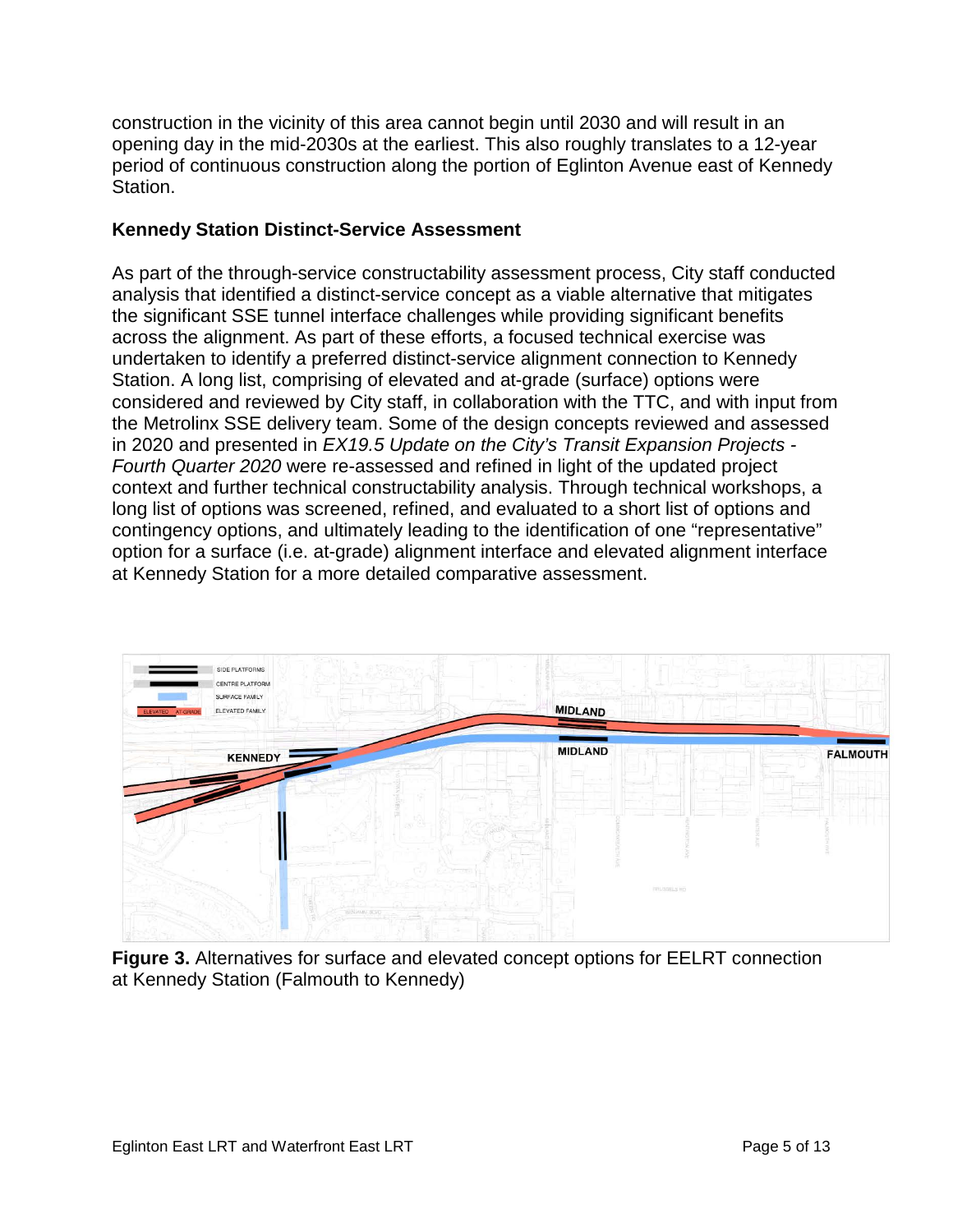construction in the vicinity of this area cannot begin until 2030 and will result in an opening day in the mid-2030s at the earliest. This also roughly translates to a 12-year period of continuous construction along the portion of Eglinton Avenue east of Kennedy Station.

## **Kennedy Station Distinct-Service Assessment**

As part of the through-service constructability assessment process, City staff conducted analysis that identified a distinct-service concept as a viable alternative that mitigates the significant SSE tunnel interface challenges while providing significant benefits across the alignment. As part of these efforts, a focused technical exercise was undertaken to identify a preferred distinct-service alignment connection to Kennedy Station. A long list, comprising of elevated and at-grade (surface) options were considered and reviewed by City staff, in collaboration with the TTC, and with input from the Metrolinx SSE delivery team. Some of the design concepts reviewed and assessed in 2020 and presented in *EX19.5 Update on the City's Transit Expansion Projects - Fourth Quarter 2020* were re-assessed and refined in light of the updated project context and further technical constructability analysis. Through technical workshops, a long list of options was screened, refined, and evaluated to a short list of options and contingency options, and ultimately leading to the identification of one "representative" option for a surface (i.e. at-grade) alignment interface and elevated alignment interface at Kennedy Station for a more detailed comparative assessment.



**Figure 3.** Alternatives for surface and elevated concept options for EELRT connection at Kennedy Station (Falmouth to Kennedy)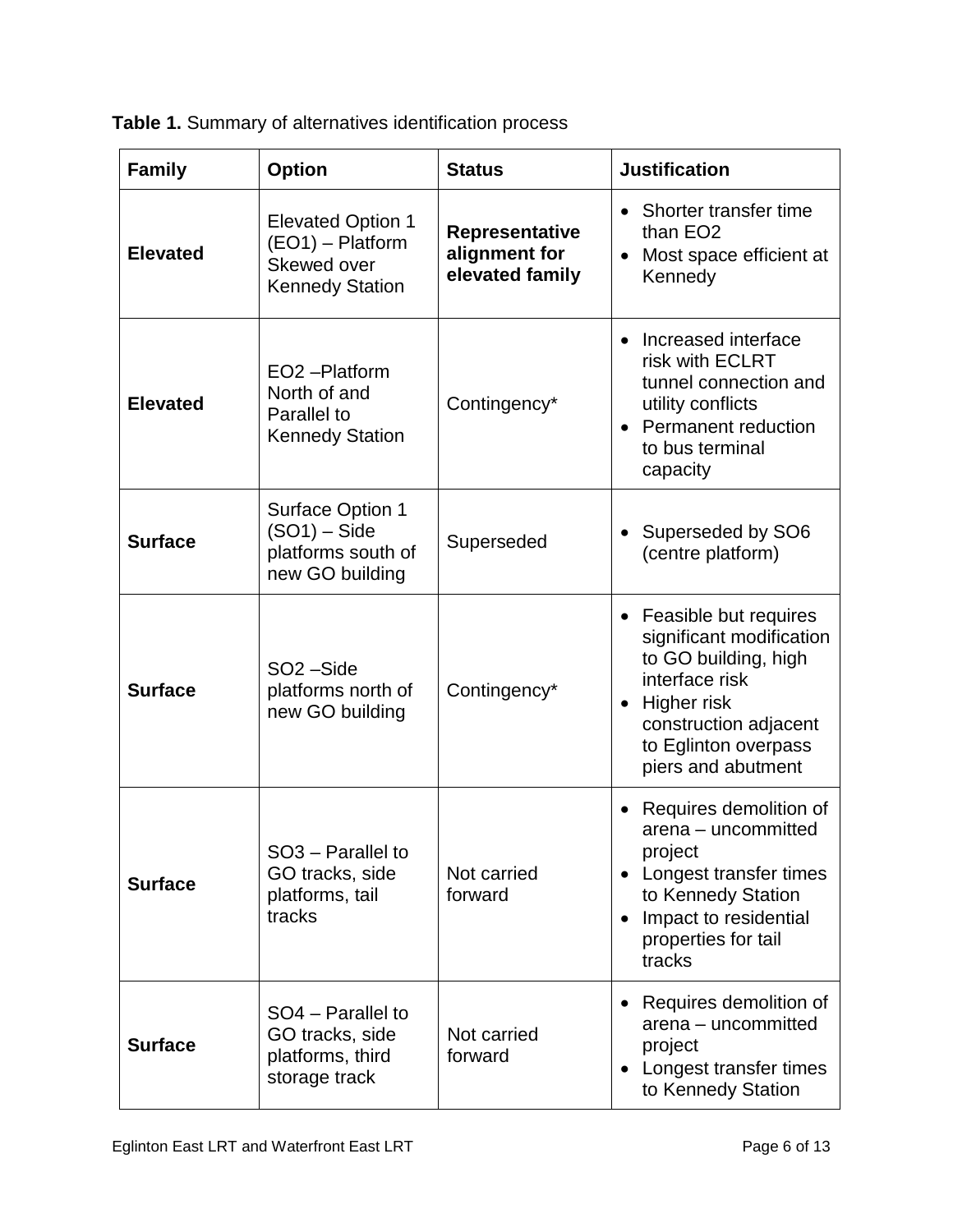**Table 1.** Summary of alternatives identification process

| <b>Family</b>   | <b>Option</b>                                                                         | <b>Status</b>                                      | <b>Justification</b>                                                                                                                                                                           |
|-----------------|---------------------------------------------------------------------------------------|----------------------------------------------------|------------------------------------------------------------------------------------------------------------------------------------------------------------------------------------------------|
| <b>Elevated</b> | <b>Elevated Option 1</b><br>(EO1) - Platform<br>Skewed over<br><b>Kennedy Station</b> | Representative<br>alignment for<br>elevated family | • Shorter transfer time<br>than EO <sub>2</sub><br>Most space efficient at<br>Kennedy                                                                                                          |
| <b>Elevated</b> | EO <sub>2</sub> -Platform<br>North of and<br>Parallel to<br><b>Kennedy Station</b>    | Contingency*                                       | Increased interface<br>$\bullet$<br>risk with ECLRT<br>tunnel connection and<br>utility conflicts<br><b>Permanent reduction</b><br>to bus terminal<br>capacity                                 |
| <b>Surface</b>  | <b>Surface Option 1</b><br>$(SO1) - Side$<br>platforms south of<br>new GO building    | Superseded                                         | Superseded by SO6<br>(centre platform)                                                                                                                                                         |
| <b>Surface</b>  | SO <sub>2</sub> -Side<br>platforms north of<br>new GO building                        | Contingency*                                       | Feasible but requires<br>significant modification<br>to GO building, high<br>interface risk<br>Higher risk<br>$\bullet$<br>construction adjacent<br>to Eglinton overpass<br>piers and abutment |
| <b>Surface</b>  | SO <sub>3</sub> – Parallel to<br>GO tracks, side<br>platforms, tail<br>tracks         | Not carried<br>forward                             | Requires demolition of<br>arena – uncommitted<br>project<br>Longest transfer times<br>to Kennedy Station<br>Impact to residential<br>$\bullet$<br>properties for tail<br>tracks                |
| <b>Surface</b>  | SO4 - Parallel to<br>GO tracks, side<br>platforms, third<br>storage track             | Not carried<br>forward                             | Requires demolition of<br>arena - uncommitted<br>project<br>Longest transfer times<br>to Kennedy Station                                                                                       |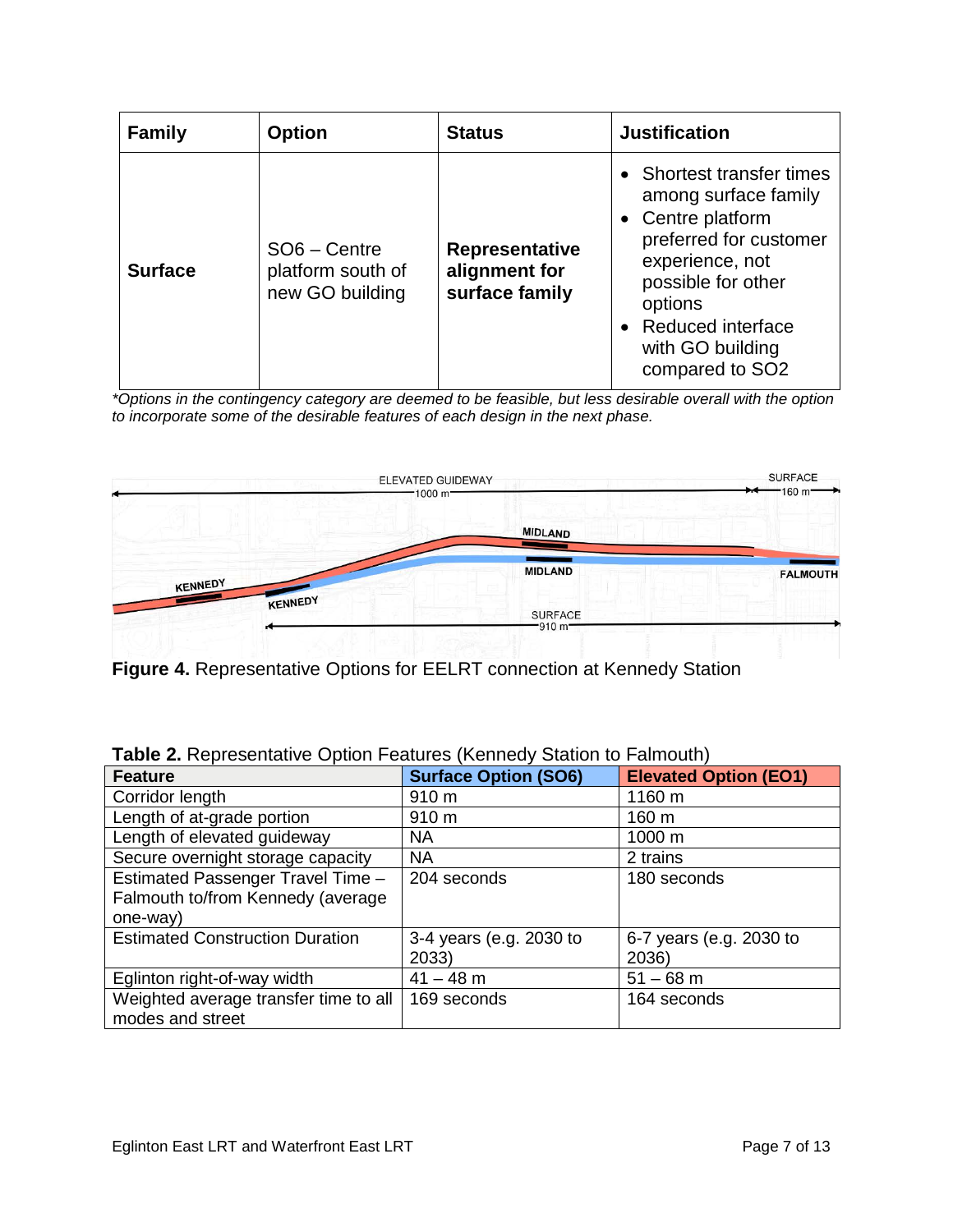| <b>Family</b>  | <b>Option</b>                                        | <b>Status</b>                                            | <b>Justification</b>                                                                                                                                                                                               |
|----------------|------------------------------------------------------|----------------------------------------------------------|--------------------------------------------------------------------------------------------------------------------------------------------------------------------------------------------------------------------|
| <b>Surface</b> | SO6 - Centre<br>platform south of<br>new GO building | <b>Representative</b><br>alignment for<br>surface family | • Shortest transfer times<br>among surface family<br>• Centre platform<br>preferred for customer<br>experience, not<br>possible for other<br>options<br>• Reduced interface<br>with GO building<br>compared to SO2 |

*\*Options in the contingency category are deemed to be feasible, but less desirable overall with the option to incorporate some of the desirable features of each design in the next phase.*



**Figure 4.** Representative Options for EELRT connection at Kennedy Station

| <b>External Executive Community Community Community Community Community</b> |                             |                              |
|-----------------------------------------------------------------------------|-----------------------------|------------------------------|
| <b>Feature</b>                                                              | <b>Surface Option (SO6)</b> | <b>Elevated Option (EO1)</b> |
| Corridor length                                                             | 910 m                       | 1160 m                       |
| Length of at-grade portion                                                  | 910 m                       | 160 <sub>m</sub>             |
| Length of elevated guideway                                                 | <b>NA</b>                   | 1000 m                       |
| Secure overnight storage capacity                                           | NA.                         | 2 trains                     |
| Estimated Passenger Travel Time -                                           | 204 seconds                 | 180 seconds                  |
| Falmouth to/from Kennedy (average                                           |                             |                              |
| one-way)                                                                    |                             |                              |
| <b>Estimated Construction Duration</b>                                      | 3-4 years (e.g. 2030 to     | 6-7 years (e.g. 2030 to      |
|                                                                             | 2033)                       | 2036)                        |
| Eglinton right-of-way width                                                 | $41 - 48$ m                 | $51 - 68$ m                  |
| Weighted average transfer time to all                                       | 169 seconds                 | 164 seconds                  |
| modes and street                                                            |                             |                              |

| Table 2. Representative Option Features (Kennedy Station to Falmouth) |
|-----------------------------------------------------------------------|
|-----------------------------------------------------------------------|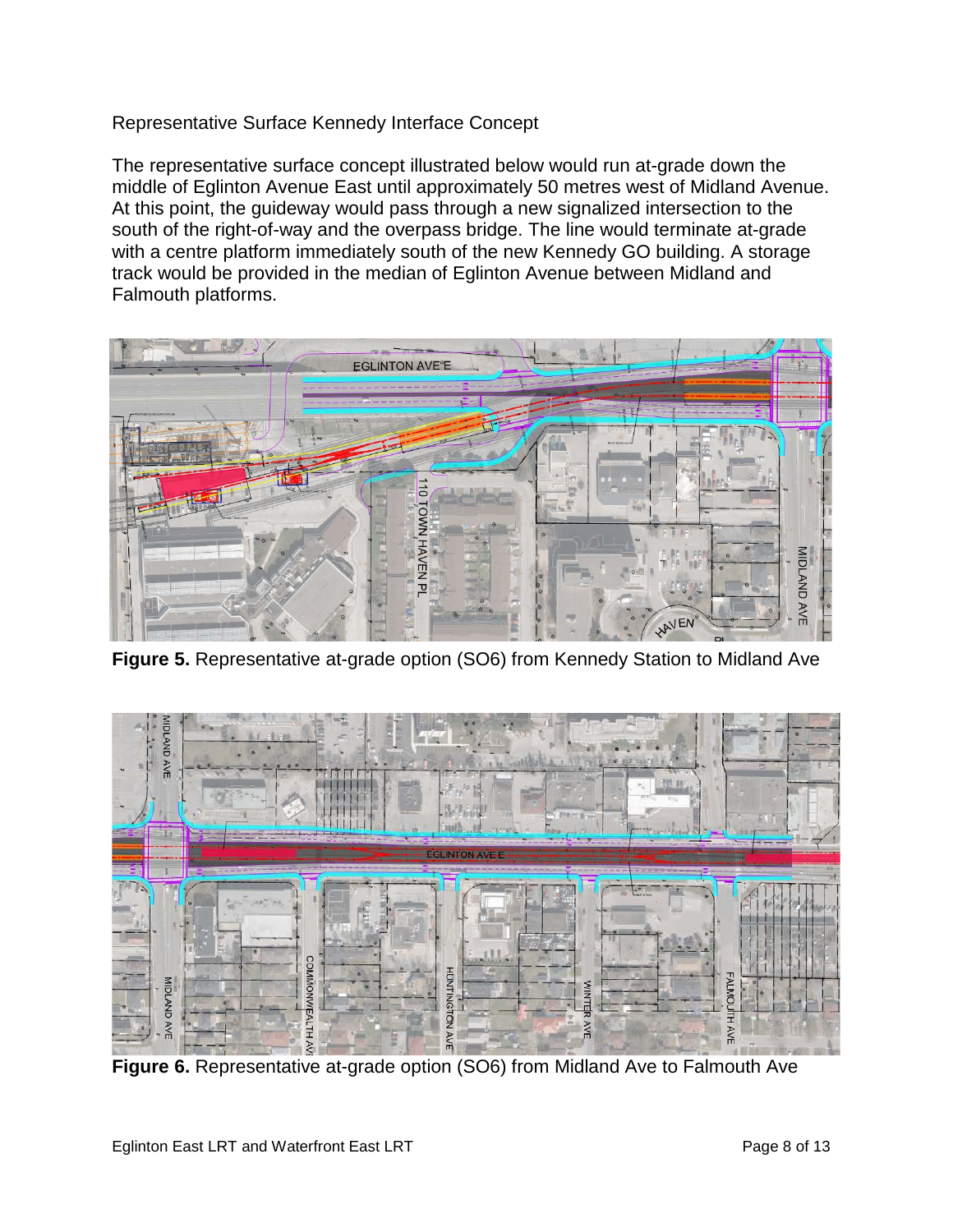Representative Surface Kennedy Interface Concept

The representative surface concept illustrated below would run at-grade down the middle of Eglinton Avenue East until approximately 50 metres west of Midland Avenue. At this point, the guideway would pass through a new signalized intersection to the south of the right-of-way and the overpass bridge. The line would terminate at-grade with a centre platform immediately south of the new Kennedy GO building. A storage track would be provided in the median of Eglinton Avenue between Midland and Falmouth platforms.



**Figure 5.** Representative at-grade option (SO6) from Kennedy Station to Midland Ave



**Figure 6.** Representative at-grade option (SO6) from Midland Ave to Falmouth Ave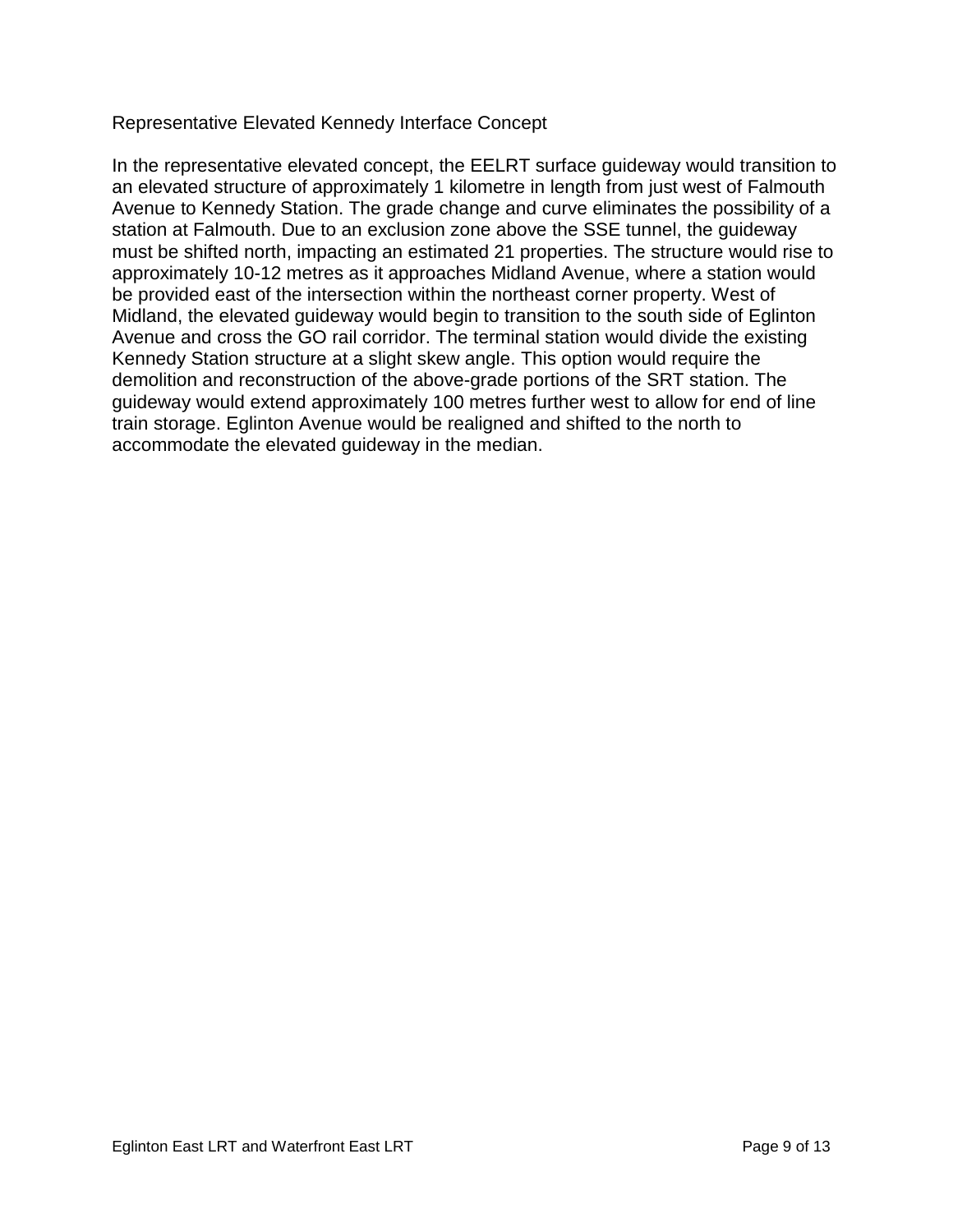Representative Elevated Kennedy Interface Concept

In the representative elevated concept, the EELRT surface guideway would transition to an elevated structure of approximately 1 kilometre in length from just west of Falmouth Avenue to Kennedy Station. The grade change and curve eliminates the possibility of a station at Falmouth. Due to an exclusion zone above the SSE tunnel, the guideway must be shifted north, impacting an estimated 21 properties. The structure would rise to approximately 10-12 metres as it approaches Midland Avenue, where a station would be provided east of the intersection within the northeast corner property. West of Midland, the elevated guideway would begin to transition to the south side of Eglinton Avenue and cross the GO rail corridor. The terminal station would divide the existing Kennedy Station structure at a slight skew angle. This option would require the demolition and reconstruction of the above-grade portions of the SRT station. The guideway would extend approximately 100 metres further west to allow for end of line train storage. Eglinton Avenue would be realigned and shifted to the north to accommodate the elevated guideway in the median.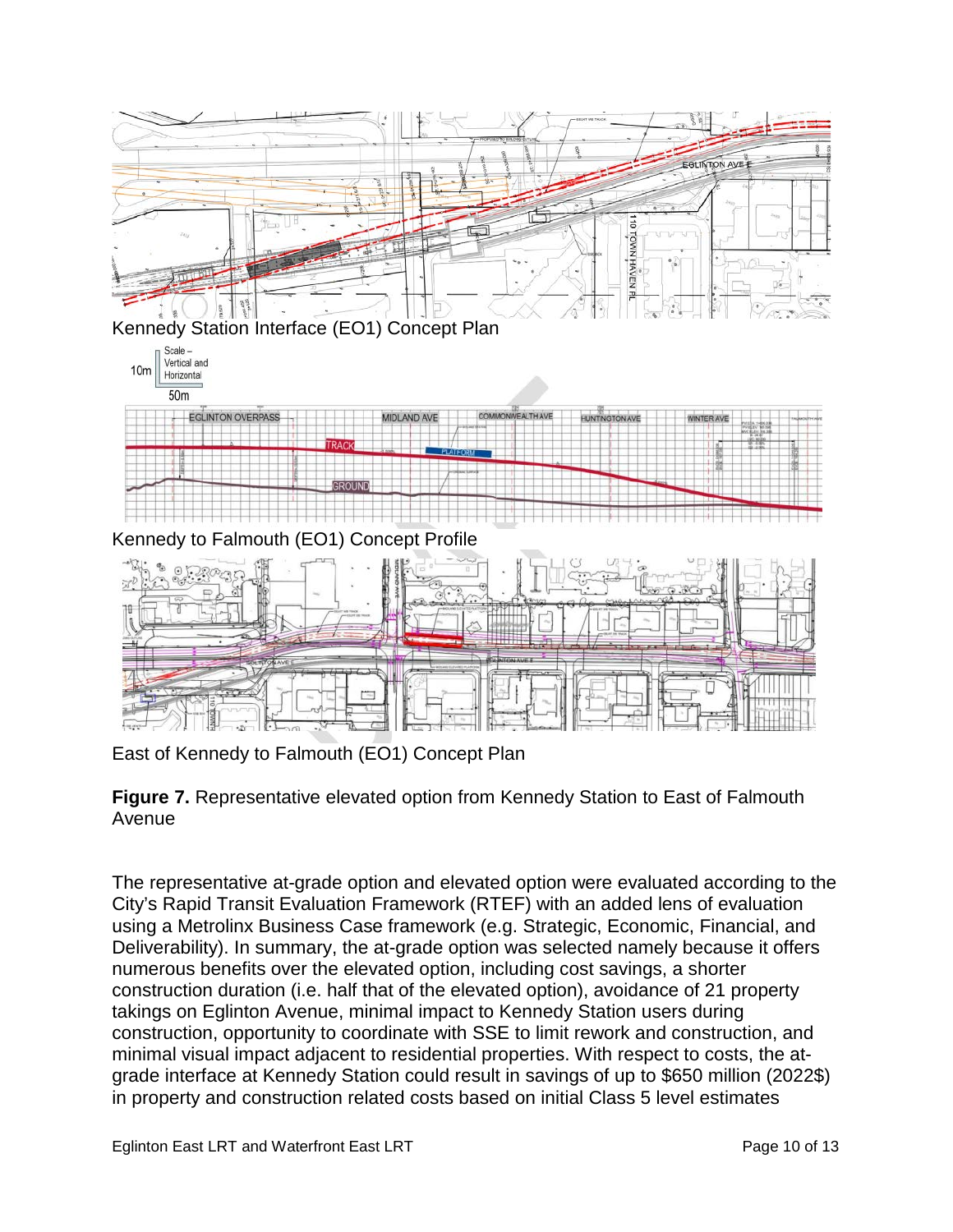

East of Kennedy to Falmouth (EO1) Concept Plan

**Figure 7.** Representative elevated option from Kennedy Station to East of Falmouth Avenue

The representative at-grade option and elevated option were evaluated according to the City's Rapid Transit Evaluation Framework (RTEF) with an added lens of evaluation using a Metrolinx Business Case framework (e.g. Strategic, Economic, Financial, and Deliverability). In summary, the at-grade option was selected namely because it offers numerous benefits over the elevated option, including cost savings, a shorter construction duration (i.e. half that of the elevated option), avoidance of 21 property takings on Eglinton Avenue, minimal impact to Kennedy Station users during construction, opportunity to coordinate with SSE to limit rework and construction, and minimal visual impact adjacent to residential properties. With respect to costs, the atgrade interface at Kennedy Station could result in savings of up to \$650 million (2022\$) in property and construction related costs based on initial Class 5 level estimates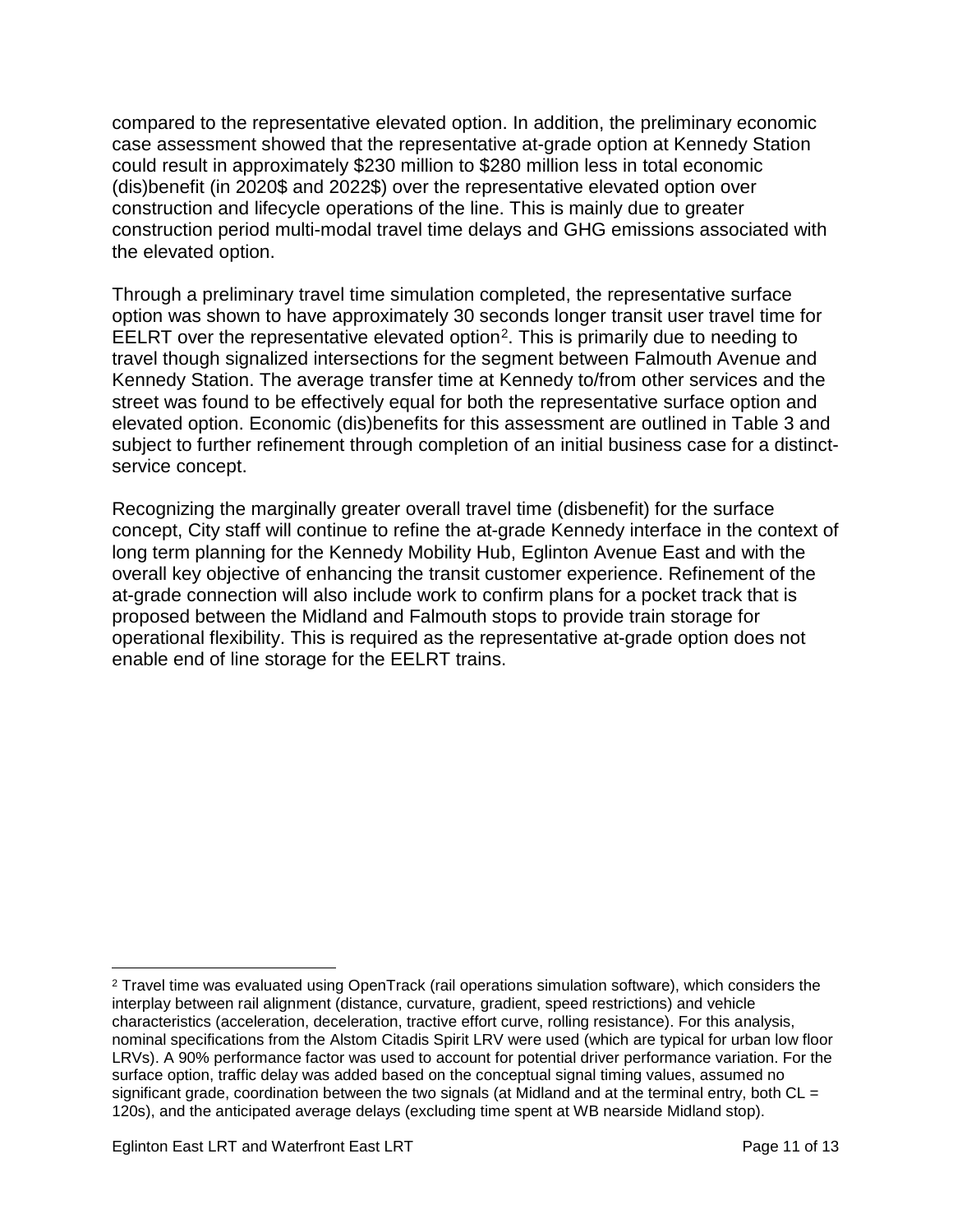compared to the representative elevated option. In addition, the preliminary economic case assessment showed that the representative at-grade option at Kennedy Station could result in approximately \$230 million to \$280 million less in total economic (dis)benefit (in 2020\$ and 2022\$) over the representative elevated option over construction and lifecycle operations of the line. This is mainly due to greater construction period multi-modal travel time delays and GHG emissions associated with the elevated option.

Through a preliminary travel time simulation completed, the representative surface option was shown to have approximately 30 seconds longer transit user travel time for EELRT over the representative elevated option[2.](#page-10-0) This is primarily due to needing to travel though signalized intersections for the segment between Falmouth Avenue and Kennedy Station. The average transfer time at Kennedy to/from other services and the street was found to be effectively equal for both the representative surface option and elevated option. Economic (dis)benefits for this assessment are outlined in Table 3 and subject to further refinement through completion of an initial business case for a distinctservice concept.

Recognizing the marginally greater overall travel time (disbenefit) for the surface concept, City staff will continue to refine the at-grade Kennedy interface in the context of long term planning for the Kennedy Mobility Hub, Eglinton Avenue East and with the overall key objective of enhancing the transit customer experience. Refinement of the at-grade connection will also include work to confirm plans for a pocket track that is proposed between the Midland and Falmouth stops to provide train storage for operational flexibility. This is required as the representative at-grade option does not enable end of line storage for the EELRT trains.

<span id="page-10-0"></span> <sup>2</sup> Travel time was evaluated using OpenTrack (rail operations simulation software), which considers the interplay between rail alignment (distance, curvature, gradient, speed restrictions) and vehicle characteristics (acceleration, deceleration, tractive effort curve, rolling resistance). For this analysis, nominal specifications from the Alstom Citadis Spirit LRV were used (which are typical for urban low floor LRVs). A 90% performance factor was used to account for potential driver performance variation. For the surface option, traffic delay was added based on the conceptual signal timing values, assumed no significant grade, coordination between the two signals (at Midland and at the terminal entry, both  $CL =$ 120s), and the anticipated average delays (excluding time spent at WB nearside Midland stop).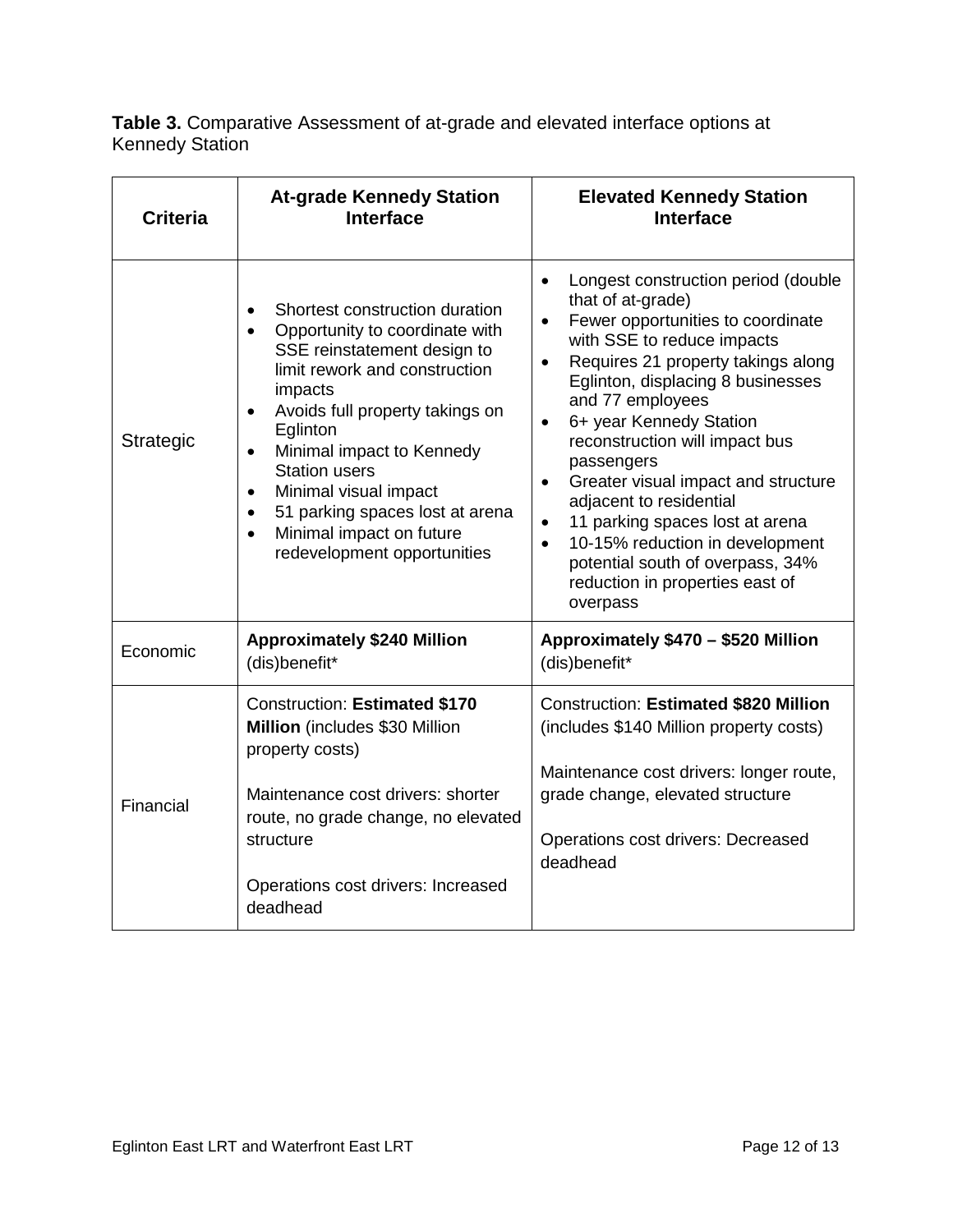**Table 3.** Comparative Assessment of at-grade and elevated interface options at Kennedy Station

| <b>Criteria</b> | <b>At-grade Kennedy Station</b><br><b>Interface</b>                                                                                                                                                                                                                                                                                                                                                                                                  | <b>Elevated Kennedy Station</b><br><b>Interface</b>                                                                                                                                                                                                                                                                                                                                                                                                                                                                                                                                                                         |  |
|-----------------|------------------------------------------------------------------------------------------------------------------------------------------------------------------------------------------------------------------------------------------------------------------------------------------------------------------------------------------------------------------------------------------------------------------------------------------------------|-----------------------------------------------------------------------------------------------------------------------------------------------------------------------------------------------------------------------------------------------------------------------------------------------------------------------------------------------------------------------------------------------------------------------------------------------------------------------------------------------------------------------------------------------------------------------------------------------------------------------------|--|
| Strategic       | Shortest construction duration<br>Opportunity to coordinate with<br>$\bullet$<br>SSE reinstatement design to<br>limit rework and construction<br>impacts<br>Avoids full property takings on<br>$\bullet$<br>Eglinton<br>Minimal impact to Kennedy<br>$\bullet$<br><b>Station users</b><br>Minimal visual impact<br>$\bullet$<br>51 parking spaces lost at arena<br>$\bullet$<br>Minimal impact on future<br>$\bullet$<br>redevelopment opportunities | Longest construction period (double<br>$\bullet$<br>that of at-grade)<br>Fewer opportunities to coordinate<br>$\bullet$<br>with SSE to reduce impacts<br>Requires 21 property takings along<br>$\bullet$<br>Eglinton, displacing 8 businesses<br>and 77 employees<br>6+ year Kennedy Station<br>$\bullet$<br>reconstruction will impact bus<br>passengers<br>Greater visual impact and structure<br>$\bullet$<br>adjacent to residential<br>11 parking spaces lost at arena<br>$\bullet$<br>10-15% reduction in development<br>$\bullet$<br>potential south of overpass, 34%<br>reduction in properties east of<br>overpass |  |
| Economic        | <b>Approximately \$240 Million</b><br>(dis)benefit*                                                                                                                                                                                                                                                                                                                                                                                                  | Approximately \$470 - \$520 Million<br>(dis)benefit*                                                                                                                                                                                                                                                                                                                                                                                                                                                                                                                                                                        |  |
| Financial       | <b>Construction: Estimated \$170</b><br>Million (includes \$30 Million<br>property costs)<br>Maintenance cost drivers: shorter<br>route, no grade change, no elevated<br>structure<br>Operations cost drivers: Increased<br>deadhead                                                                                                                                                                                                                 | <b>Construction: Estimated \$820 Million</b><br>(includes \$140 Million property costs)<br>Maintenance cost drivers: longer route,<br>grade change, elevated structure<br>Operations cost drivers: Decreased<br>deadhead                                                                                                                                                                                                                                                                                                                                                                                                    |  |